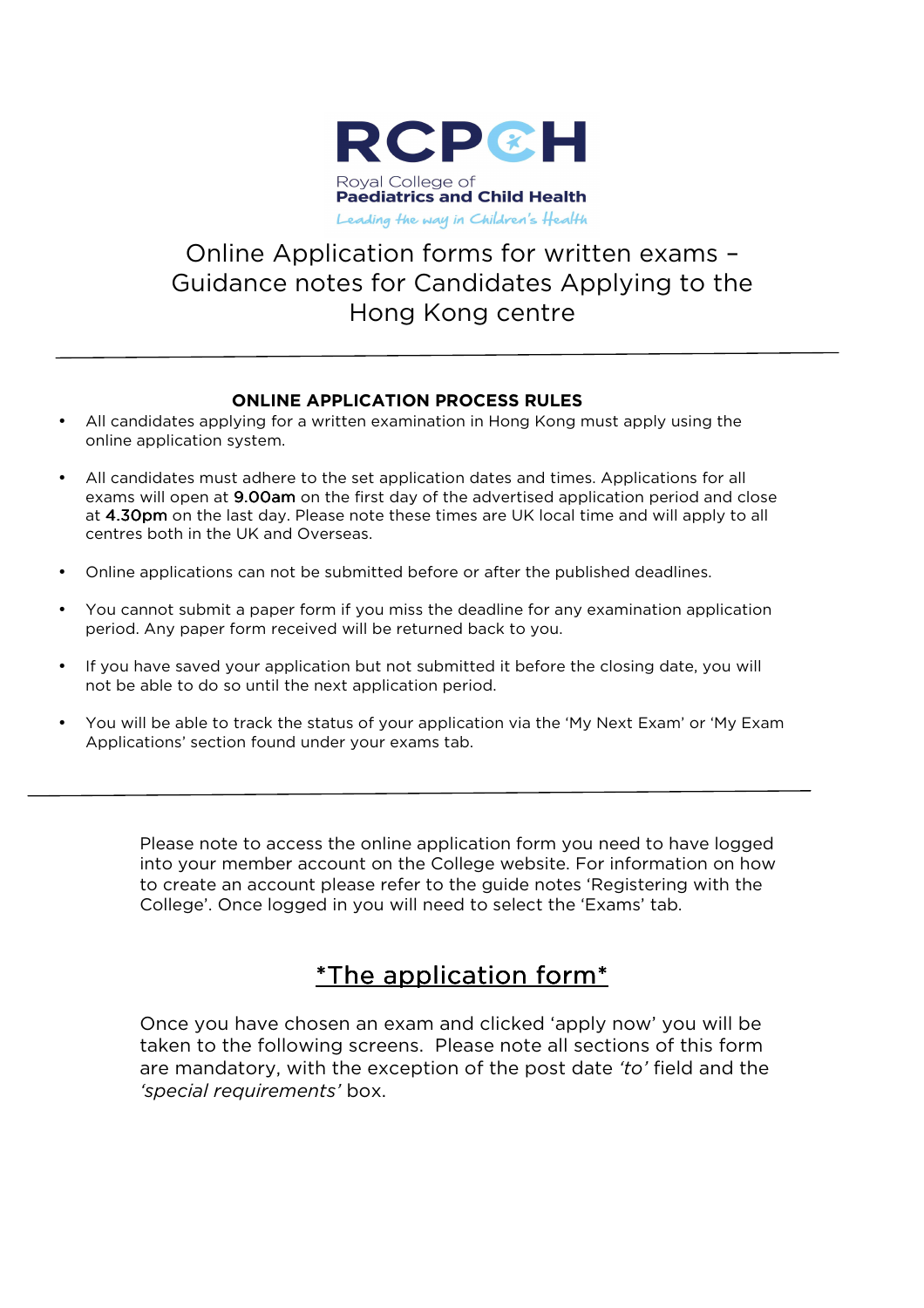

# Online Application forms for written exams – Guidance notes for Candidates Applying to the Hong Kong centre

#### **ONLINE APPLICATION PROCESS RULES**

- All candidates applying for a written examination in Hong Kong must apply using the online application system.
- All candidates must adhere to the set application dates and times. Applications for all exams will open at 9.00am on the first day of the advertised application period and close at 4.30pm on the last day. Please note these times are UK local time and will apply to all centres both in the UK and Overseas.
- Online applications can not be submitted before or after the published deadlines.
- You cannot submit a paper form if you miss the deadline for any examination application period. Any paper form received will be returned back to you.
- If you have saved your application but not submitted it before the closing date, you will not be able to do so until the next application period.
- You will be able to track the status of your application via the 'My Next Exam' or 'My Exam Applications' section found under your exams tab.

Please note to access the online application form you need to have logged into your member account on the College website. For information on how to create an account please refer to the guide notes 'Registering with the College'. Once logged in you will need to select the 'Exams' tab.

# $*$ The application form $*$

Once you have chosen an exam and clicked 'apply now' you will be taken to the following screens. Please note all sections of this form are mandatory, with the exception of the post date *'to'* field and the *'special requirements'* box.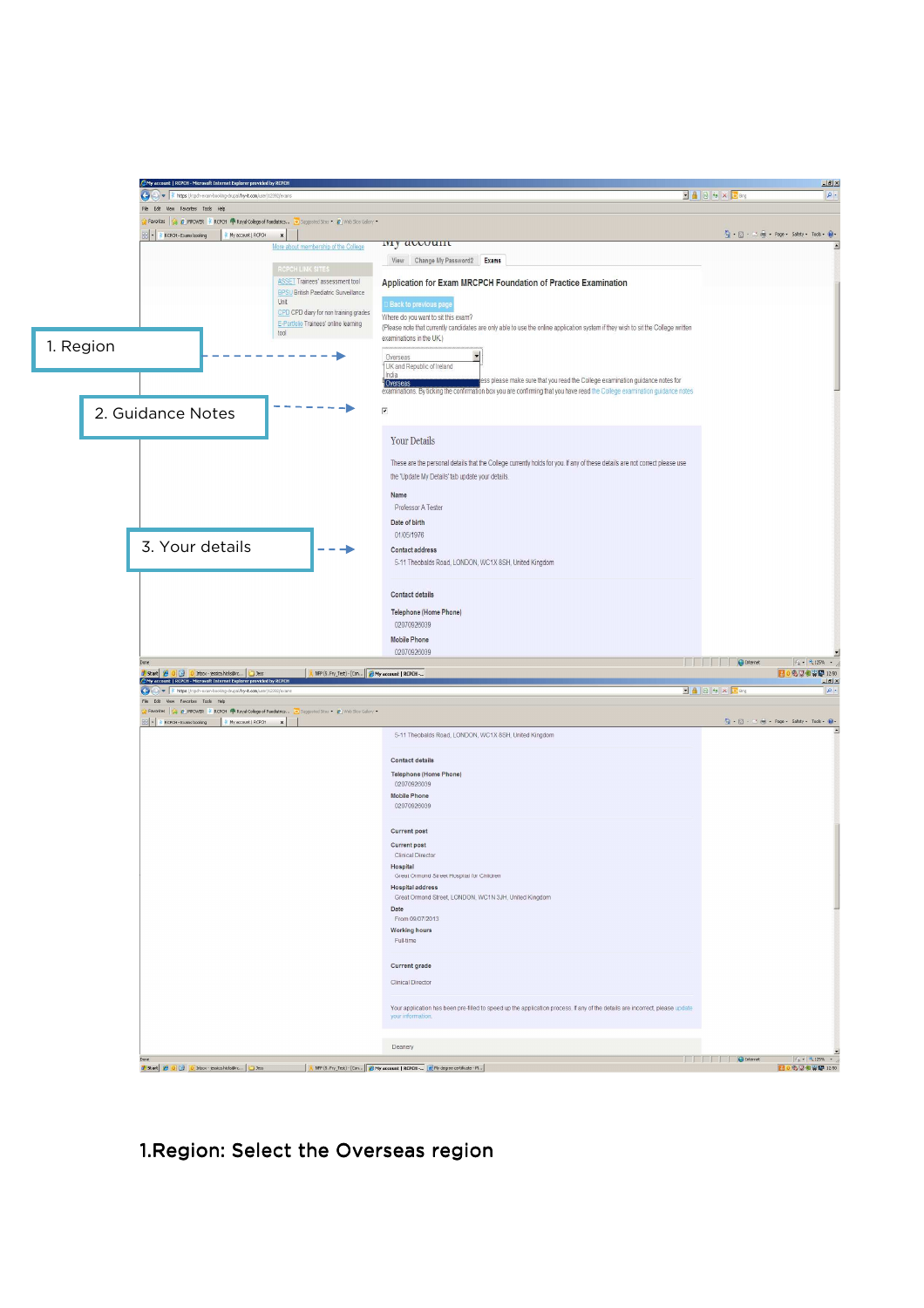

1. Region: Select the Overseas region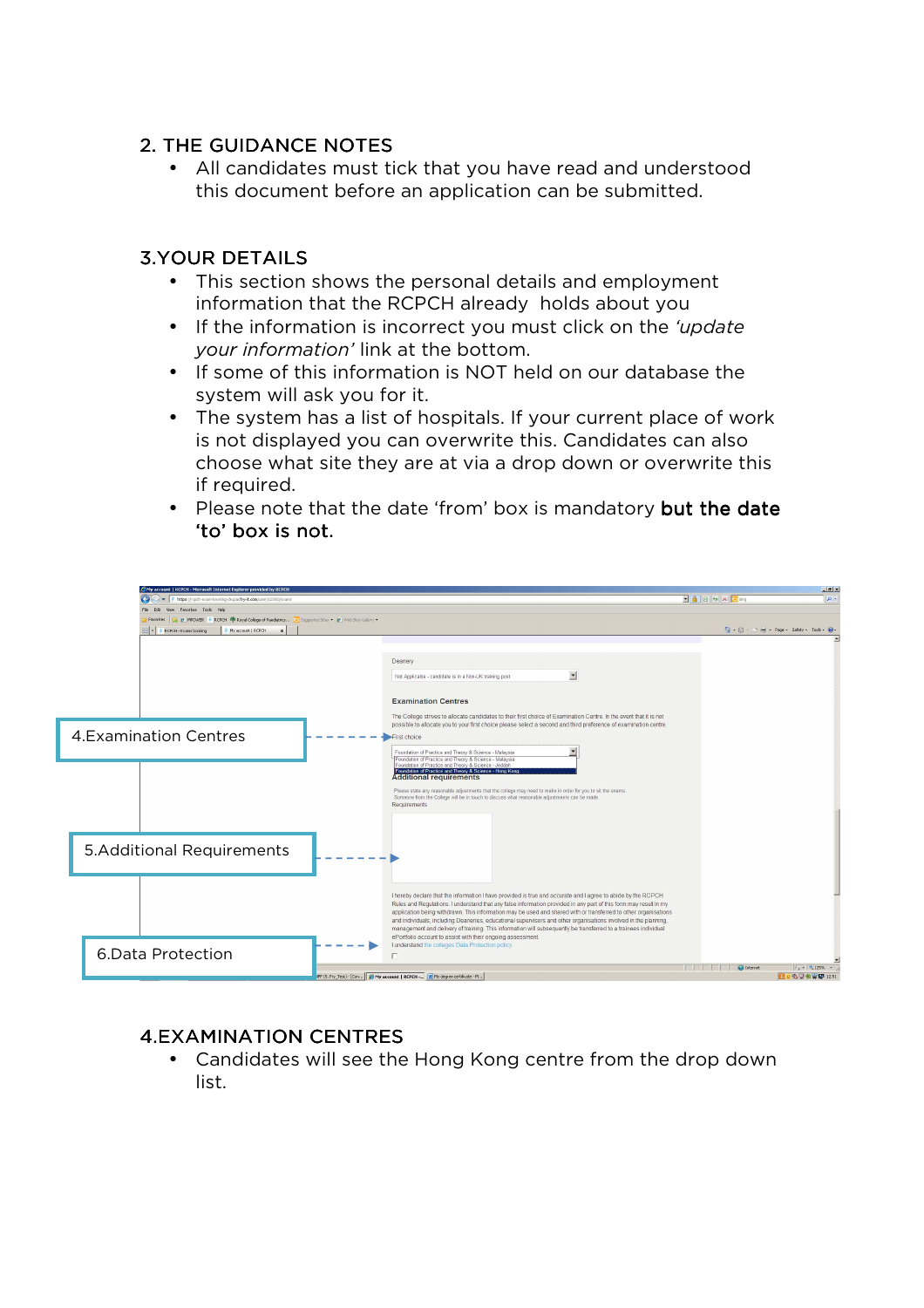### 2. THE GUIDANCE NOTES

• All candidates must tick that you have read and understood this document before an application can be submitted.

## **3.YOUR DETAILS**

- This section shows the personal details and employment information that the RCPCH already holds about you
- If the information is incorrect you must click on the *'update your information'* link at the bottom.
- If some of this information is NOT held on our database the system will ask you for it.
- The system has a list of hospitals. If your current place of work is not displayed you can overwrite this. Candidates can also choose what site they are at via a drop down or overwrite this if required.
- Please note that the date 'from' box is mandatory but the date 'to' box is not.



## **4.EXAMINATION CENTRES**

• Candidates will see the Hong Kong centre from the drop down list.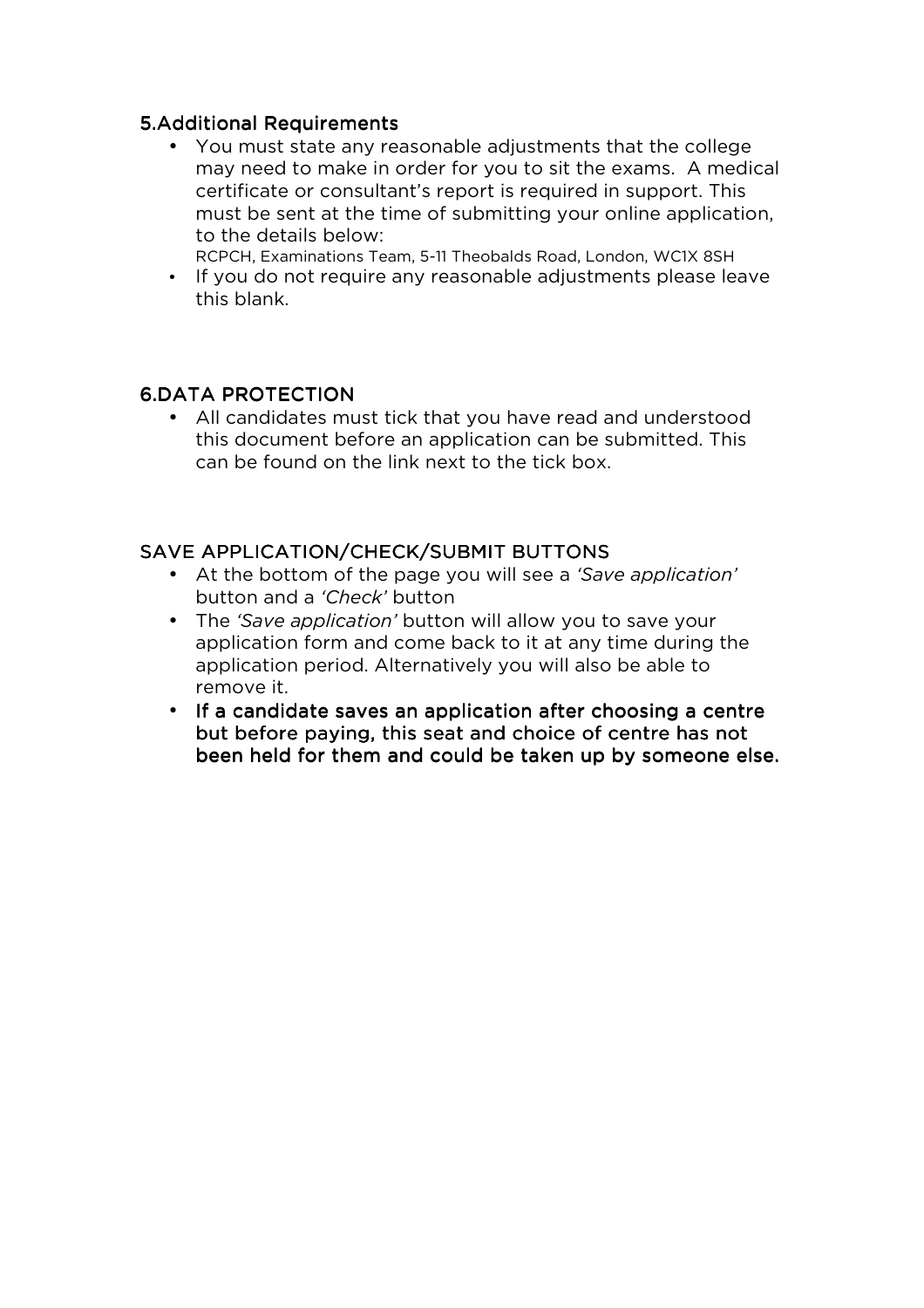#### **5.Additional Requirements**

• You must state any reasonable adjustments that the college may need to make in order for you to sit the exams. A medical certificate or consultant's report is required in support. This must be sent at the time of submitting your online application, to the details below:

RCPCH, Examinations Team, 5-11 Theobalds Road, London, WC1X 8SH

• If you do not require any reasonable adjustments please leave this blank.

#### 6.DATA PROTECTION

• All candidates must tick that you have read and understood this document before an application can be submitted. This can be found on the link next to the tick box.

### SAVE APPLICATION/CHECK/SUBMIT BUTTONS

- At the bottom of the page you will see a *'Save application'* button and a *'Check'* button
- The *'Save application'* button will allow you to save your application form and come back to it at any time during the application period. Alternatively you will also be able to remove it.
- If a candidate saves an application after choosing a centre but before paying, this seat and choice of centre has not been held for them and could be taken up by someone else.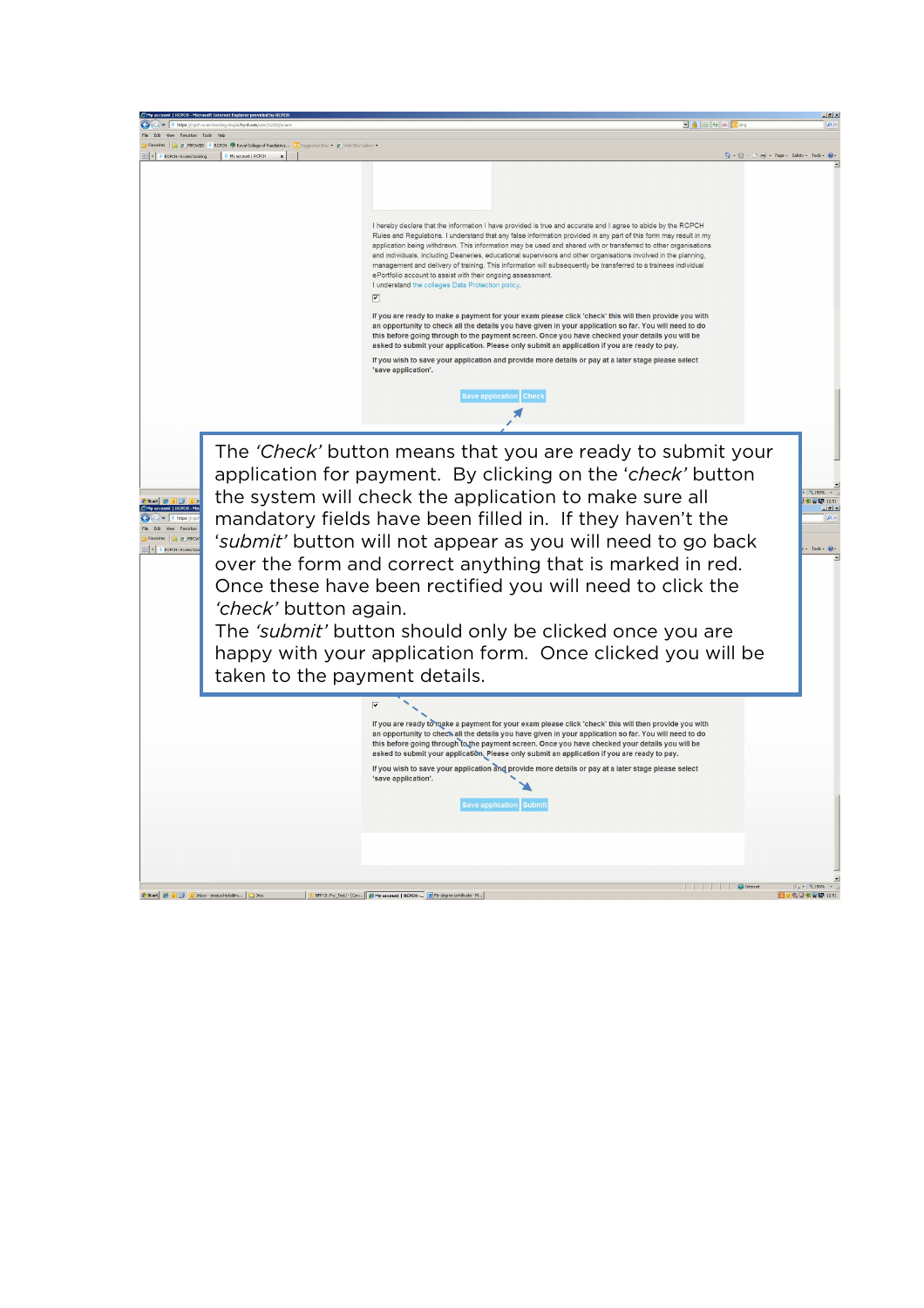